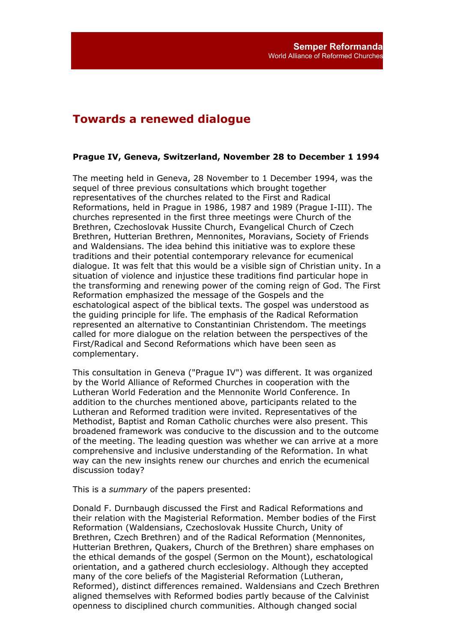# **Towards a renewed dialogue**

#### **Prague IV, Geneva, Switzerland, November 28 to December 1 1994**

The meeting held in Geneva, 28 November to 1 December 1994, was the sequel of three previous consultations which brought together representatives of the churches related to the First and Radical Reformations, held in Prague in 1986, 1987 and 1989 (Prague I-III). The churches represented in the first three meetings were Church of the Brethren, Czechoslovak Hussite Church, Evangelical Church of Czech Brethren, Hutterian Brethren, Mennonites, Moravians, Society of Friends and Waldensians. The idea behind this initiative was to explore these traditions and their potential contemporary relevance for ecumenical dialogue. It was felt that this would be a visible sign of Christian unity. In a situation of violence and injustice these traditions find particular hope in the transforming and renewing power of the coming reign of God. The First Reformation emphasized the message of the Gospels and the eschatological aspect of the biblical texts. The gospel was understood as the guiding principle for life. The emphasis of the Radical Reformation represented an alternative to Constantinian Christendom. The meetings called for more dialogue on the relation between the perspectives of the First/Radical and Second Reformations which have been seen as complementary.

This consultation in Geneva ("Prague IV") was different. It was organized by the World Alliance of Reformed Churches in cooperation with the Lutheran World Federation and the Mennonite World Conference. In addition to the churches mentioned above, participants related to the Lutheran and Reformed tradition were invited. Representatives of the Methodist, Baptist and Roman Catholic churches were also present. This broadened framework was conducive to the discussion and to the outcome of the meeting. The leading question was whether we can arrive at a more comprehensive and inclusive understanding of the Reformation. In what way can the new insights renew our churches and enrich the ecumenical discussion today?

This is a *summary* of the papers presented:

Donald F. Durnbaugh discussed the First and Radical Reformations and their relation with the Magisterial Reformation. Member bodies of the First Reformation (Waldensians, Czechoslovak Hussite Church, Unity of Brethren, Czech Brethren) and of the Radical Reformation (Mennonites, Hutterian Brethren, Quakers, Church of the Brethren) share emphases on the ethical demands of the gospel (Sermon on the Mount), eschatological orientation, and a gathered church ecclesiology. Although they accepted many of the core beliefs of the Magisterial Reformation (Lutheran, Reformed), distinct differences remained. Waldensians and Czech Brethren aligned themselves with Reformed bodies partly because of the Calvinist openness to disciplined church communities. Although changed social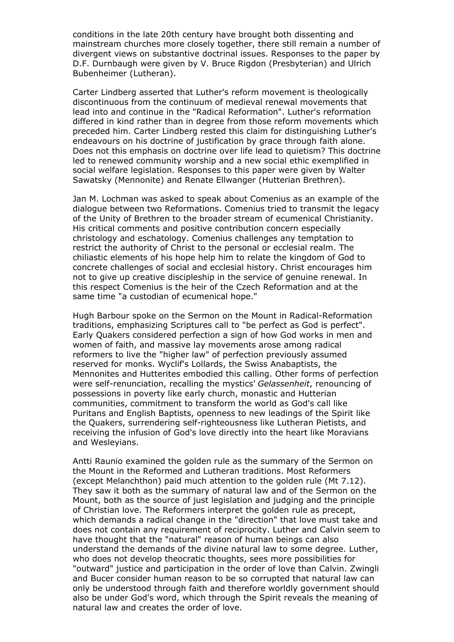conditions in the late 20th century have brought both dissenting and mainstream churches more closely together, there still remain a number of divergent views on substantive doctrinal issues. Responses to the paper by D.F. Durnbaugh were given by V. Bruce Rigdon (Presbyterian) and Ulrich Bubenheimer (Lutheran).

Carter Lindberg asserted that Luther's reform movement is theologically discontinuous from the continuum of medieval renewal movements that lead into and continue in the "Radical Reformation". Luther's reformation differed in kind rather than in degree from those reform movements which preceded him. Carter Lindberg rested this claim for distinguishing Luther's endeavours on his doctrine of justification by grace through faith alone. Does not this emphasis on doctrine over life lead to quietism? This doctrine led to renewed community worship and a new social ethic exemplified in social welfare legislation. Responses to this paper were given by Walter Sawatsky (Mennonite) and Renate Ellwanger (Hutterian Brethren).

Jan M. Lochman was asked to speak about Comenius as an example of the dialogue between two Reformations. Comenius tried to transmit the legacy of the Unity of Brethren to the broader stream of ecumenical Christianity. His critical comments and positive contribution concern especially christology and eschatology. Comenius challenges any temptation to restrict the authority of Christ to the personal or ecclesial realm. The chiliastic elements of his hope help him to relate the kingdom of God to concrete challenges of social and ecclesial history. Christ encourages him not to give up creative discipleship in the service of genuine renewal. In this respect Comenius is the heir of the Czech Reformation and at the same time "a custodian of ecumenical hope."

Hugh Barbour spoke on the Sermon on the Mount in Radical-Reformation traditions, emphasizing Scriptures call to "be perfect as God is perfect". Early Quakers considered perfection a sign of how God works in men and women of faith, and massive lay movements arose among radical reformers to live the "higher law" of perfection previously assumed reserved for monks. Wyclif's Lollards, the Swiss Anabaptists, the Mennonites and Hutterites embodied this calling. Other forms of perfection were self-renunciation, recalling the mystics' *Gelassenheit*, renouncing of possessions in poverty like early church, monastic and Hutterian communities, commitment to transform the world as God's call like Puritans and English Baptists, openness to new leadings of the Spirit like the Quakers, surrendering self-righteousness like Lutheran Pietists, and receiving the infusion of God's love directly into the heart like Moravians and Wesleyians.

Antti Raunio examined the golden rule as the summary of the Sermon on the Mount in the Reformed and Lutheran traditions. Most Reformers (except Melanchthon) paid much attention to the golden rule (Mt 7.12). They saw it both as the summary of natural law and of the Sermon on the Mount, both as the source of just legislation and judging and the principle of Christian love. The Reformers interpret the golden rule as precept, which demands a radical change in the "direction" that love must take and does not contain any requirement of reciprocity. Luther and Calvin seem to have thought that the "natural" reason of human beings can also understand the demands of the divine natural law to some degree. Luther, who does not develop theocratic thoughts, sees more possibilities for "outward" justice and participation in the order of love than Calvin. Zwingli and Bucer consider human reason to be so corrupted that natural law can only be understood through faith and therefore worldly government should also be under God's word, which through the Spirit reveals the meaning of natural law and creates the order of love.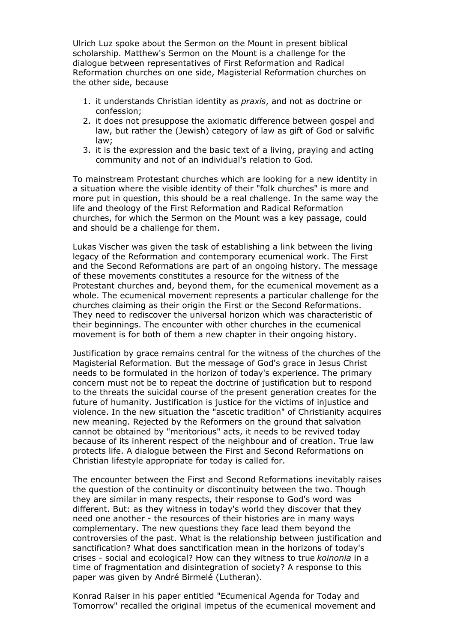Ulrich Luz spoke about the Sermon on the Mount in present biblical scholarship. Matthew's Sermon on the Mount is a challenge for the dialogue between representatives of First Reformation and Radical Reformation churches on one side, Magisterial Reformation churches on the other side, because

- 1. it understands Christian identity as *praxis*, and not as doctrine or confession;
- 2. it does not presuppose the axiomatic difference between gospel and law, but rather the (Jewish) category of law as gift of God or salvific law;
- 3. it is the expression and the basic text of a living, praying and acting community and not of an individual's relation to God.

To mainstream Protestant churches which are looking for a new identity in a situation where the visible identity of their "folk churches" is more and more put in question, this should be a real challenge. In the same way the life and theology of the First Reformation and Radical Reformation churches, for which the Sermon on the Mount was a key passage, could and should be a challenge for them.

Lukas Vischer was given the task of establishing a link between the living legacy of the Reformation and contemporary ecumenical work. The First and the Second Reformations are part of an ongoing history. The message of these movements constitutes a resource for the witness of the Protestant churches and, beyond them, for the ecumenical movement as a whole. The ecumenical movement represents a particular challenge for the churches claiming as their origin the First or the Second Reformations. They need to rediscover the universal horizon which was characteristic of their beginnings. The encounter with other churches in the ecumenical movement is for both of them a new chapter in their ongoing history.

Justification by grace remains central for the witness of the churches of the Magisterial Reformation. But the message of God's grace in Jesus Christ needs to be formulated in the horizon of today's experience. The primary concern must not be to repeat the doctrine of justification but to respond to the threats the suicidal course of the present generation creates for the future of humanity. Justification is justice for the victims of injustice and violence. In the new situation the "ascetic tradition" of Christianity acquires new meaning. Rejected by the Reformers on the ground that salvation cannot be obtained by "meritorious" acts, it needs to be revived today because of its inherent respect of the neighbour and of creation. True law protects life. A dialogue between the First and Second Reformations on Christian lifestyle appropriate for today is called for.

The encounter between the First and Second Reformations inevitably raises the question of the continuity or discontinuity between the two. Though they are similar in many respects, their response to God's word was different. But: as they witness in today's world they discover that they need one another - the resources of their histories are in many ways complementary. The new questions they face lead them beyond the controversies of the past. What is the relationship between justification and sanctification? What does sanctification mean in the horizons of today's crises - social and ecological? How can they witness to true *koinonia* in a time of fragmentation and disintegration of society? A response to this paper was given by André Birmelé (Lutheran).

Konrad Raiser in his paper entitled "Ecumenical Agenda for Today and Tomorrow" recalled the original impetus of the ecumenical movement and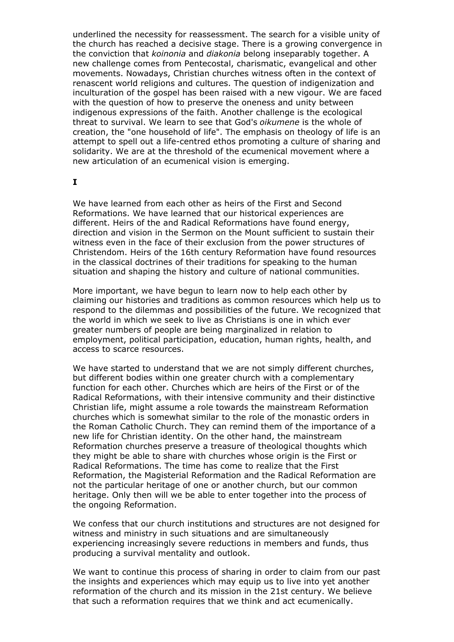underlined the necessity for reassessment. The search for a visible unity of the church has reached a decisive stage. There is a growing convergence in the conviction that *koinonia* and *diakonia* belong inseparably together. A new challenge comes from Pentecostal, charismatic, evangelical and other movements. Nowadays, Christian churches witness often in the context of renascent world religions and cultures. The question of indigenization and inculturation of the gospel has been raised with a new vigour. We are faced with the question of how to preserve the oneness and unity between indigenous expressions of the faith. Another challenge is the ecological threat to survival. We learn to see that God's *oikumene* is the whole of creation, the "one household of life". The emphasis on theology of life is an attempt to spell out a life-centred ethos promoting a culture of sharing and solidarity. We are at the threshold of the ecumenical movement where a new articulation of an ecumenical vision is emerging.

#### **I**

We have learned from each other as heirs of the First and Second Reformations. We have learned that our historical experiences are different. Heirs of the and Radical Reformations have found energy, direction and vision in the Sermon on the Mount sufficient to sustain their witness even in the face of their exclusion from the power structures of Christendom. Heirs of the 16th century Reformation have found resources in the classical doctrines of their traditions for speaking to the human situation and shaping the history and culture of national communities.

More important, we have begun to learn now to help each other by claiming our histories and traditions as common resources which help us to respond to the dilemmas and possibilities of the future. We recognized that the world in which we seek to live as Christians is one in which ever greater numbers of people are being marginalized in relation to employment, political participation, education, human rights, health, and access to scarce resources.

We have started to understand that we are not simply different churches, but different bodies within one greater church with a complementary function for each other. Churches which are heirs of the First or of the Radical Reformations, with their intensive community and their distinctive Christian life, might assume a role towards the mainstream Reformation churches which is somewhat similar to the role of the monastic orders in the Roman Catholic Church. They can remind them of the importance of a new life for Christian identity. On the other hand, the mainstream Reformation churches preserve a treasure of theological thoughts which they might be able to share with churches whose origin is the First or Radical Reformations. The time has come to realize that the First Reformation, the Magisterial Reformation and the Radical Reformation are not the particular heritage of one or another church, but our common heritage. Only then will we be able to enter together into the process of the ongoing Reformation.

We confess that our church institutions and structures are not designed for witness and ministry in such situations and are simultaneously experiencing increasingly severe reductions in members and funds, thus producing a survival mentality and outlook.

We want to continue this process of sharing in order to claim from our past the insights and experiences which may equip us to live into yet another reformation of the church and its mission in the 21st century. We believe that such a reformation requires that we think and act ecumenically.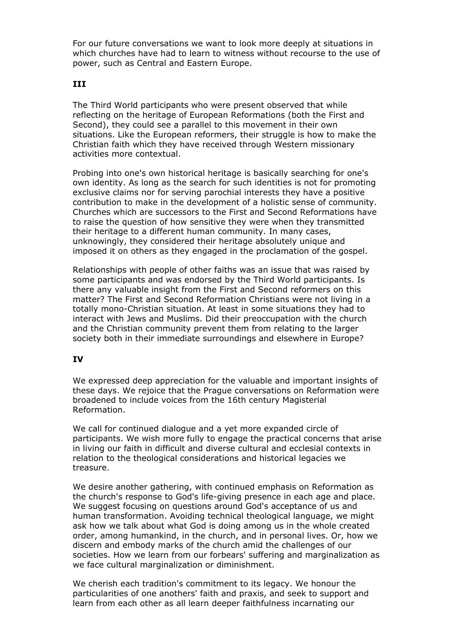For our future conversations we want to look more deeply at situations in which churches have had to learn to witness without recourse to the use of power, such as Central and Eastern Europe.

### **III**

The Third World participants who were present observed that while reflecting on the heritage of European Reformations (both the First and Second), they could see a parallel to this movement in their own situations. Like the European reformers, their struggle is how to make the Christian faith which they have received through Western missionary activities more contextual.

Probing into one's own historical heritage is basically searching for one's own identity. As long as the search for such identities is not for promoting exclusive claims nor for serving parochial interests they have a positive contribution to make in the development of a holistic sense of community. Churches which are successors to the First and Second Reformations have to raise the question of how sensitive they were when they transmitted their heritage to a different human community. In many cases, unknowingly, they considered their heritage absolutely unique and imposed it on others as they engaged in the proclamation of the gospel.

Relationships with people of other faiths was an issue that was raised by some participants and was endorsed by the Third World participants. Is there any valuable insight from the First and Second reformers on this matter? The First and Second Reformation Christians were not living in a totally mono-Christian situation. At least in some situations they had to interact with Jews and Muslims. Did their preoccupation with the church and the Christian community prevent them from relating to the larger society both in their immediate surroundings and elsewhere in Europe?

## **IV**

We expressed deep appreciation for the valuable and important insights of these days. We rejoice that the Prague conversations on Reformation were broadened to include voices from the 16th century Magisterial Reformation.

We call for continued dialogue and a yet more expanded circle of participants. We wish more fully to engage the practical concerns that arise in living our faith in difficult and diverse cultural and ecclesial contexts in relation to the theological considerations and historical legacies we treasure.

We desire another gathering, with continued emphasis on Reformation as the church's response to God's life-giving presence in each age and place. We suggest focusing on questions around God's acceptance of us and human transformation. Avoiding technical theological language, we might ask how we talk about what God is doing among us in the whole created order, among humankind, in the church, and in personal lives. Or, how we discern and embody marks of the church amid the challenges of our societies. How we learn from our forbears' suffering and marginalization as we face cultural marginalization or diminishment.

We cherish each tradition's commitment to its legacy. We honour the particularities of one anothers' faith and praxis, and seek to support and learn from each other as all learn deeper faithfulness incarnating our